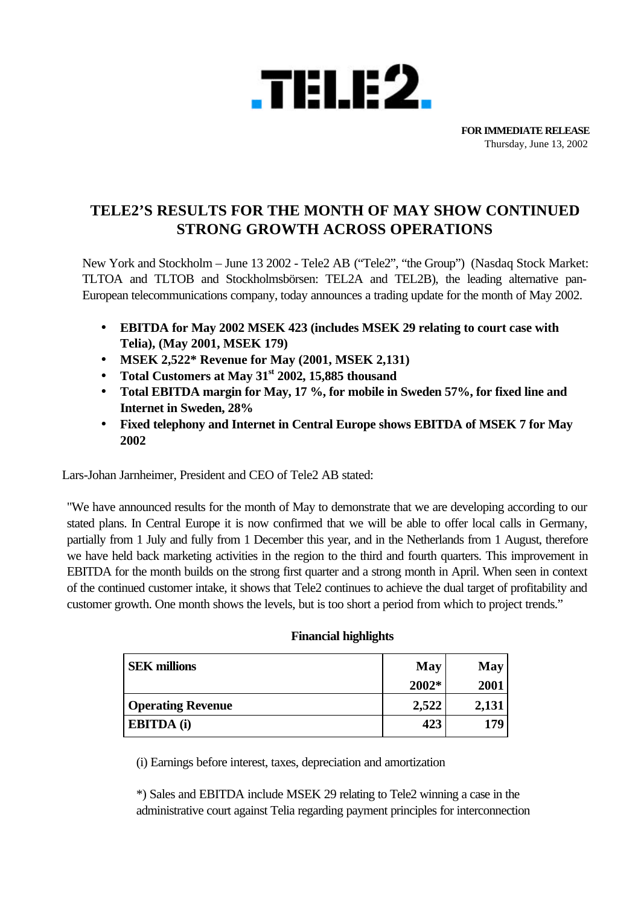

**FOR IMMEDIATE RELEASE** Thursday, June 13, 2002

# **TELE2'S RESULTS FOR THE MONTH OF MAY SHOW CONTINUED STRONG GROWTH ACROSS OPERATIONS**

New York and Stockholm – June 13 2002 - Tele2 AB ("Tele2", "the Group") (Nasdaq Stock Market: TLTOA and TLTOB and Stockholmsbörsen: TEL2A and TEL2B), the leading alternative pan-European telecommunications company, today announces a trading update for the month of May 2002.

- **EBITDA for May 2002 MSEK 423 (includes MSEK 29 relating to court case with Telia), (May 2001, MSEK 179)**
- **MSEK 2,522\* Revenue for May (2001, MSEK 2,131)**
- **Total Customers at May 31st 2002, 15,885 thousand**
- **Total EBITDA margin for May, 17 %, for mobile in Sweden 57%, for fixed line and Internet in Sweden, 28%**
- **Fixed telephony and Internet in Central Europe shows EBITDA of MSEK 7 for May 2002**

Lars-Johan Jarnheimer, President and CEO of Tele2 AB stated:

"We have announced results for the month of May to demonstrate that we are developing according to our stated plans. In Central Europe it is now confirmed that we will be able to offer local calls in Germany, partially from 1 July and fully from 1 December this year, and in the Netherlands from 1 August, therefore we have held back marketing activities in the region to the third and fourth quarters. This improvement in EBITDA for the month builds on the strong first quarter and a strong month in April. When seen in context of the continued customer intake, it shows that Tele2 continues to achieve the dual target of profitability and customer growth. One month shows the levels, but is too short a period from which to project trends."

| <b>SEK</b> millions      | May   | May   |
|--------------------------|-------|-------|
|                          | 2002* | 2001  |
| <b>Operating Revenue</b> | 2,522 | 2,131 |
| <b>EBITDA</b> (i)        | 423   | 179   |

## **Financial highlights**

(i) Earnings before interest, taxes, depreciation and amortization

\*) Sales and EBITDA include MSEK 29 relating to Tele2 winning a case in the administrative court against Telia regarding payment principles for interconnection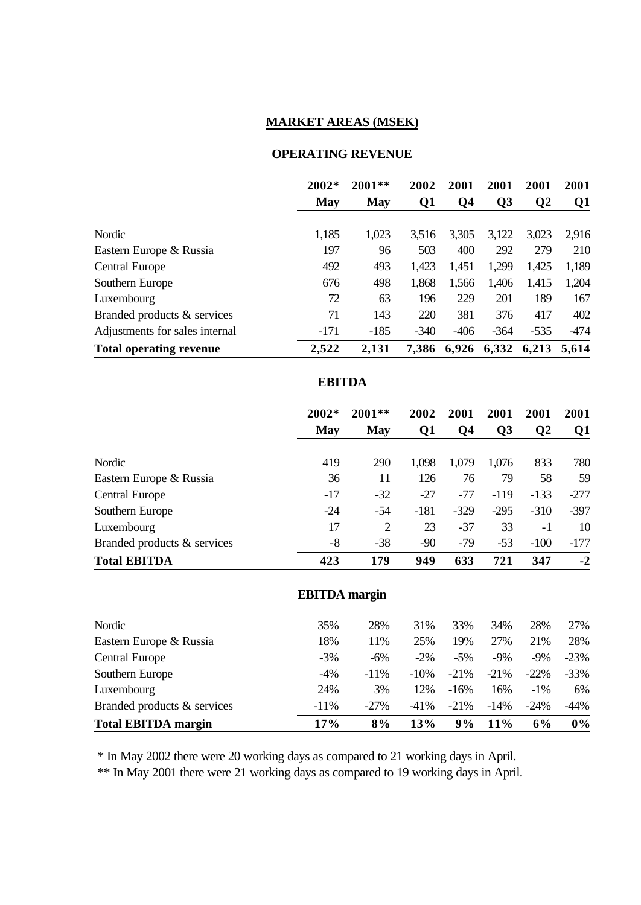## **MARKET AREAS (MSEK)**

#### **OPERATING REVENUE**

|                                | 2002*  | $2001**$ | 2002   | 2001              | 2001           | 2001     | 2001           |
|--------------------------------|--------|----------|--------|-------------------|----------------|----------|----------------|
|                                | May    | May      | Q1     | Q4                | Q <sub>3</sub> | $\bf Q2$ | Q <sub>1</sub> |
|                                |        |          |        |                   |                |          |                |
| Nordic                         | 1,185  | 1,023    | 3.516  | 3,305             | 3,122          | 3,023    | 2,916          |
| Eastern Europe & Russia        | 197    | 96       | 503    | 400               | 292            | 279      | 210            |
| <b>Central Europe</b>          | 492    | 493      | 1,423  | 1,451             | 1,299          | 1,425    | 1,189          |
| Southern Europe                | 676    | 498      | 1,868  | 1,566             | 1,406          | 1,415    | 1,204          |
| Luxembourg                     | 72     | 63       | 196    | 229               | 201            | 189      | 167            |
| Branded products & services    | 71     | 143      | 220    | 381               | 376            | 417      | 402            |
| Adjustments for sales internal | $-171$ | $-185$   | $-340$ | $-406$            | $-364$         | $-535$   | $-474$         |
| <b>Total operating revenue</b> | 2,522  | 2,131    |        | 7,386 6,926 6,332 |                | 6,213    | 5,614          |

#### **EBITDA**

|                             | $2002*$ | $2001**$ | 2002   | 2001   | 2001   | 2001         | 2001   |
|-----------------------------|---------|----------|--------|--------|--------|--------------|--------|
|                             | May     | May      | Q1     | Q4     | Q3     | $\mathbf{Q}$ | Q1     |
|                             |         |          |        |        |        |              |        |
| Nordic                      | 419     | 290      | 1,098  | 1,079  | 1,076  | 833          | 780    |
| Eastern Europe & Russia     | 36      | 11       | 126    | 76     | 79     | 58           | 59     |
| <b>Central Europe</b>       | $-17$   | $-32$    | $-27$  | $-77$  | $-119$ | $-133$       | $-277$ |
| Southern Europe             | $-24$   | $-54$    | $-181$ | $-329$ | $-295$ | $-310$       | $-397$ |
| Luxembourg                  | 17      | 2        | 23     | $-37$  | 33     | $-1$         | 10     |
| Branded products & services | -8      | $-38$    | $-90$  | $-79$  | $-53$  | $-100$       | $-177$ |
| <b>Total EBITDA</b>         | 423     | 179      | 949    | 633    | 721    | 347          | $-2$   |

## **EBITDA margin**

| <b>Total EBITDA margin</b>  | 17%     | 8%      | 13%     | 9%      | 11%     | 6%      | $0\%$   |
|-----------------------------|---------|---------|---------|---------|---------|---------|---------|
| Branded products & services | $-11\%$ | $-27\%$ | $-41\%$ | $-21\%$ | $-14%$  | $-24\%$ | $-44\%$ |
| Luxembourg                  | 24%     | 3%      | 12%     | $-16%$  | 16%     | $-1\%$  | 6%      |
| Southern Europe             | $-4\%$  | $-11\%$ | $-10\%$ | $-21\%$ | $-21\%$ | $-22\%$ | $-33\%$ |
| <b>Central Europe</b>       | $-3\%$  | $-6\%$  | $-2\%$  | $-5%$   | $-9\%$  | $-9\%$  | $-23%$  |
| Eastern Europe & Russia     | 18%     | 11%     | 25%     | 19%     | 27%     | 21\%    | 28%     |
| Nordic                      | 35%     | 28%     | 31%     | 33%     | 34%     | 28%     | 27%     |
|                             |         |         |         |         |         |         |         |

\* In May 2002 there were 20 working days as compared to 21 working days in April.

\*\* In May 2001 there were 21 working days as compared to 19 working days in April.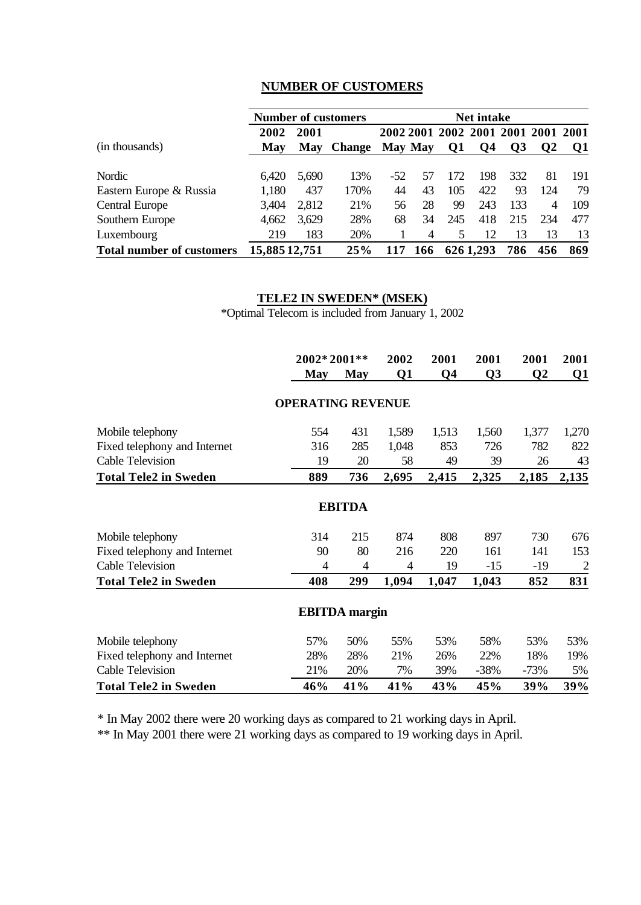# **NUMBER OF CUSTOMERS**

|                                  |              |       | <b>Number of customers</b> |       |         |                               | <b>Net intake</b> |                 |               |       |
|----------------------------------|--------------|-------|----------------------------|-------|---------|-------------------------------|-------------------|-----------------|---------------|-------|
|                                  | 2002         | 2001  |                            |       |         | 2002 2001 2002 2001 2001 2001 |                   |                 |               | -2001 |
| (in thousands)                   | <b>May</b>   | May   | <b>Change</b>              |       | May May | Q1                            | <b>O4</b>         | $\overline{O3}$ | $\mathbf{O}2$ | 01    |
|                                  |              |       |                            |       |         |                               |                   |                 |               |       |
| Nordic                           | 6,420        | 5,690 | 13%                        | $-52$ | 57      | 172                           | 198               | 332             | 81            | 191   |
| Eastern Europe & Russia          | 1,180        | 437   | 170%                       | 44    | 43      | 105                           | 422               | 93              | 124           | 79    |
| <b>Central Europe</b>            | 3,404        | 2,812 | 21\%                       | 56    | 28      | 99                            | 243               | 133             | 4             | 109   |
| Southern Europe                  | 4,662        | 3,629 | 28%                        | 68    | 34      | 245                           | 418               | 215             | 234           | 477   |
| Luxembourg                       | 219          | 183   | 20%                        |       | 4       | 5                             | 12                | 13              | 13            | 13    |
| <b>Total number of customers</b> | 15,88512,751 |       | 25%                        |       | 166     |                               | 6261,293          | 786             | 456           | 869   |

# **TELE2 IN SWEDEN\* (MSEK)**

\*Optimal Telecom is included from January 1, 2002

|                              |                          | 2002*2001**          |       | 2001           | 2001           | 2001     | 2001                    |
|------------------------------|--------------------------|----------------------|-------|----------------|----------------|----------|-------------------------|
|                              | <b>May</b>               | <b>May</b>           | Q1    | Q <sub>4</sub> | Q <sub>3</sub> | $\bf Q2$ | $\overline{\mathbf{Q}}$ |
|                              | <b>OPERATING REVENUE</b> |                      |       |                |                |          |                         |
| Mobile telephony             | 554                      | 431                  | 1,589 | 1,513          | 1,560          | 1,377    | 1,270                   |
| Fixed telephony and Internet | 316                      | 285                  | 1,048 | 853            | 726            | 782      | 822                     |
| <b>Cable Television</b>      | 19                       | 20                   | 58    | 49             | 39             | 26       | 43                      |
| <b>Total Tele2 in Sweden</b> | 889                      | 736                  | 2,695 | 2,415          | 2,325          | 2,185    | 2,135                   |
|                              |                          | <b>EBITDA</b>        |       |                |                |          |                         |
| Mobile telephony             | 314                      | 215                  | 874   | 808            | 897            | 730      | 676                     |
| Fixed telephony and Internet | 90                       | 80                   | 216   | 220            | 161            | 141      | 153                     |
| Cable Television             | $\overline{4}$           | 4                    | 4     | 19             | $-15$          | $-19$    | $\overline{2}$          |
| <b>Total Tele2 in Sweden</b> | 408                      | 299                  | 1,094 | 1,047          | 1,043          | 852      | 831                     |
|                              |                          | <b>EBITDA</b> margin |       |                |                |          |                         |
| Mobile telephony             | 57%                      | 50%                  | 55%   | 53%            | 58%            | 53%      | 53%                     |
| Fixed telephony and Internet | 28%                      | 28%                  | 21%   | 26%            | 22%            | 18%      | 19%                     |
| Cable Television             | 21%                      | 20%                  | 7%    | 39%            | $-38%$         | $-73%$   | 5%                      |
| <b>Total Tele2 in Sweden</b> | 46%                      | 41%                  | 41%   | 43%            | 45%            | 39%      | 39%                     |

\* In May 2002 there were 20 working days as compared to 21 working days in April.

\*\* In May 2001 there were 21 working days as compared to 19 working days in April.